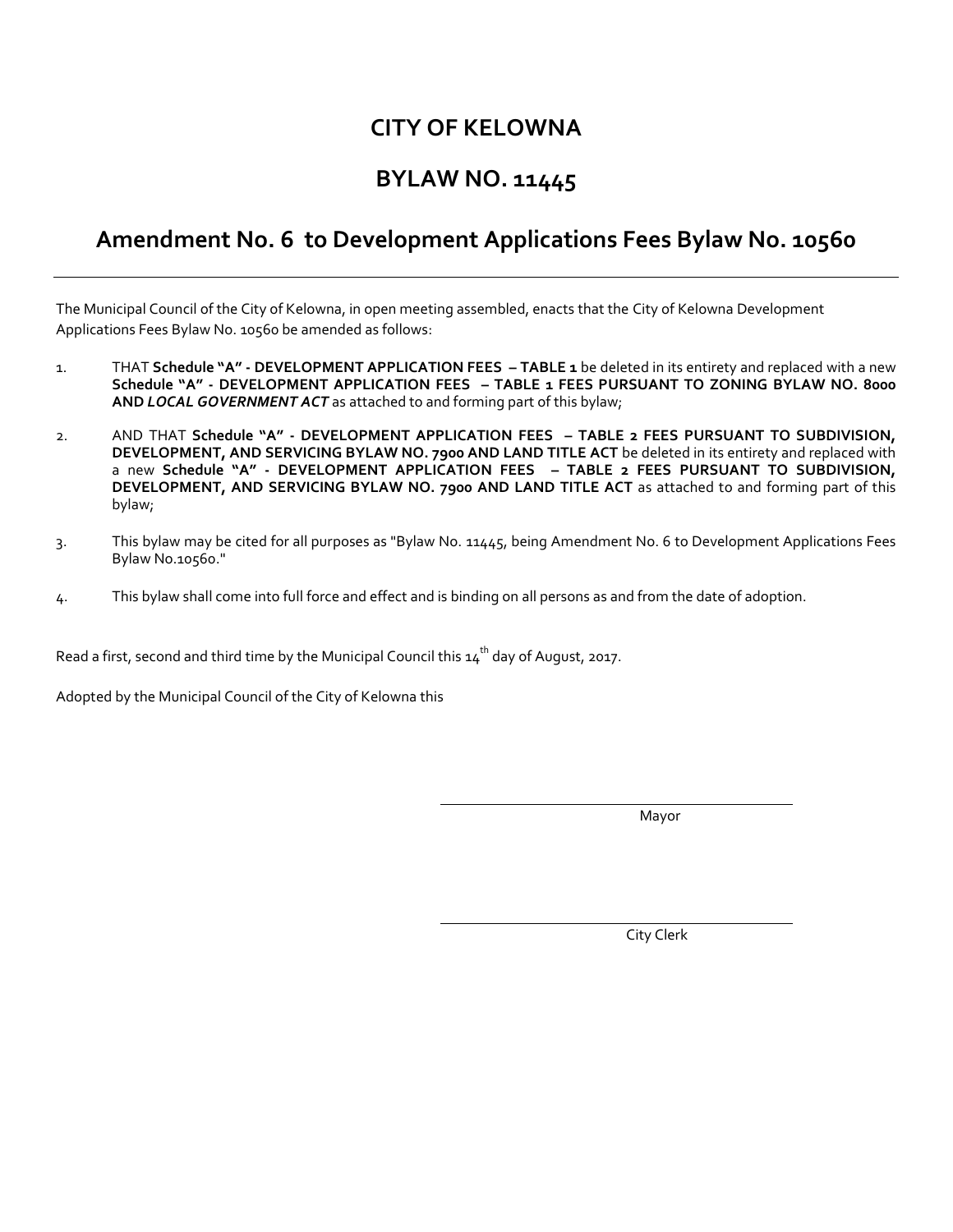#### **CITY OF KELOWNA**

### **BYLAW NO. 11445**

#### **Amendment No. 6 to Development Applications Fees Bylaw No. 10560**

The Municipal Council of the City of Kelowna, in open meeting assembled, enacts that the City of Kelowna Development Applications Fees Bylaw No. 10560 be amended as follows:

- 1. THAT **Schedule "A" - DEVELOPMENT APPLICATION FEES – TABLE 1** be deleted in its entirety and replaced with a new **Schedule "A" - DEVELOPMENT APPLICATION FEES – TABLE 1 FEES PURSUANT TO ZONING BYLAW NO. 8000 AND** *LOCAL GOVERNMENT ACT* as attached to and forming part of this bylaw;
- 2. AND THAT **Schedule "A" - DEVELOPMENT APPLICATION FEES – TABLE 2 FEES PURSUANT TO SUBDIVISION, DEVELOPMENT, AND SERVICING BYLAW NO. 7900 AND LAND TITLE ACT** be deleted in its entirety and replaced with a new **Schedule "A" - DEVELOPMENT APPLICATION FEES – TABLE 2 FEES PURSUANT TO SUBDIVISION, DEVELOPMENT, AND SERVICING BYLAW NO. 7900 AND LAND TITLE ACT** as attached to and forming part of this bylaw;
- 3. This bylaw may be cited for all purposes as "Bylaw No. 11445, being Amendment No. 6 to Development Applications Fees Bylaw No.10560."
- 4. This bylaw shall come into full force and effect and is binding on all persons as and from the date of adoption.

Read a first, second and third time by the Municipal Council this  $\boldsymbol{\mathsf{14}}^\text{th}$  day of August, 2017.

Adopted by the Municipal Council of the City of Kelowna this

Mayor

City Clerk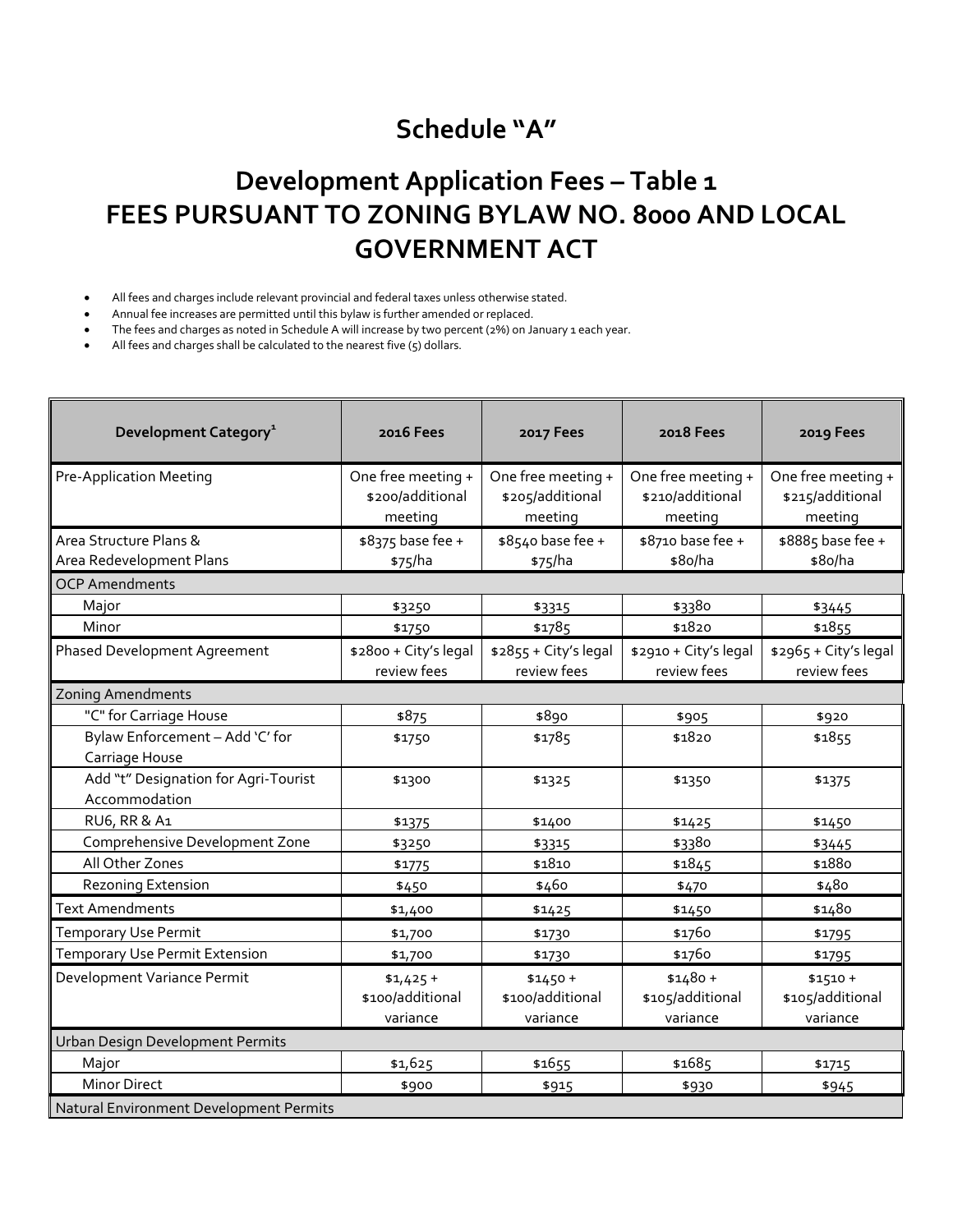## **Schedule "A"**

# **Development Application Fees – Table 1 FEES PURSUANT TO ZONING BYLAW NO. 8000 AND LOCAL GOVERNMENT ACT**

All fees and charges include relevant provincial and federal taxes unless otherwise stated.

Annual fee increases are permitted until this bylaw is further amended or replaced.

The fees and charges as noted in Schedule A will increase by two percent (2%) on January 1 each year.

All fees and charges shall be calculated to the nearest five (5) dollars.

| Development Category <sup>1</sup>                     | <b>2016 Fees</b>                                  | <b>2017 Fees</b>                                  | 2018 Fees                                         | 2019 Fees                                         |
|-------------------------------------------------------|---------------------------------------------------|---------------------------------------------------|---------------------------------------------------|---------------------------------------------------|
| <b>Pre-Application Meeting</b>                        | One free meeting +<br>\$200/additional<br>meeting | One free meeting +<br>\$205/additional<br>meeting | One free meeting +<br>\$210/additional<br>meeting | One free meeting +<br>\$215/additional<br>meeting |
| Area Structure Plans &                                | \$8375 base fee +                                 | \$8540 base fee +                                 | \$8710 base fee +                                 | \$8885 base fee +                                 |
| Area Redevelopment Plans                              | \$75/ha                                           | \$75/ha                                           | \$8o/ha                                           | \$8o/ha                                           |
| <b>OCP Amendments</b>                                 |                                                   |                                                   |                                                   |                                                   |
| Major                                                 | \$3250                                            | \$3315                                            | \$3380                                            | \$3445                                            |
| Minor                                                 | \$1750                                            | \$1785                                            | \$1820                                            | \$1855                                            |
| <b>Phased Development Agreement</b>                   | \$2800 + City's legal                             | \$2855 + City's legal                             | \$2910 + City's legal                             | \$2965 + City's legal                             |
|                                                       | review fees                                       | review fees                                       | review fees                                       | review fees                                       |
| <b>Zoning Amendments</b>                              |                                                   |                                                   |                                                   |                                                   |
| "C" for Carriage House                                | \$875                                             | \$890                                             | \$905                                             | \$920                                             |
| Bylaw Enforcement - Add 'C' for<br>Carriage House     | \$1750                                            | \$1785                                            | \$1820                                            | \$1855                                            |
| Add "t" Designation for Agri-Tourist<br>Accommodation | \$1300                                            | \$1325                                            | \$1350                                            | \$1375                                            |
| RU6, RR & A1                                          | \$1375                                            | \$1400                                            | \$1425                                            | \$1450                                            |
| Comprehensive Development Zone                        | \$3250                                            | \$3315                                            | \$3380                                            | \$3445                                            |
| All Other Zones                                       | \$1775                                            | \$1810                                            | \$1845                                            | \$1880                                            |
| <b>Rezoning Extension</b>                             | \$450                                             | \$460                                             | \$470                                             | \$480                                             |
| <b>Text Amendments</b>                                | \$1,400                                           | \$1425                                            | \$1450                                            | \$1480                                            |
| <b>Temporary Use Permit</b>                           | \$1,700                                           | \$1730                                            | \$1760                                            | \$1795                                            |
| Temporary Use Permit Extension                        | \$1,700                                           | \$1730                                            | \$1760                                            | \$1795                                            |
| Development Variance Permit                           | $$1,425+$<br>\$100/additional<br>variance         | $$1450 +$<br>\$100/additional<br>variance         | $$1480 +$<br>\$105/additional<br>variance         | $$1510 +$<br>\$105/additional<br>variance         |
| Urban Design Development Permits                      |                                                   |                                                   |                                                   |                                                   |
| Major                                                 | \$1,625                                           | \$1655                                            | \$1685                                            | \$1715                                            |
| <b>Minor Direct</b>                                   | \$900                                             | \$915                                             | \$930                                             | \$945                                             |
| Natural Environment Development Permits               |                                                   |                                                   |                                                   |                                                   |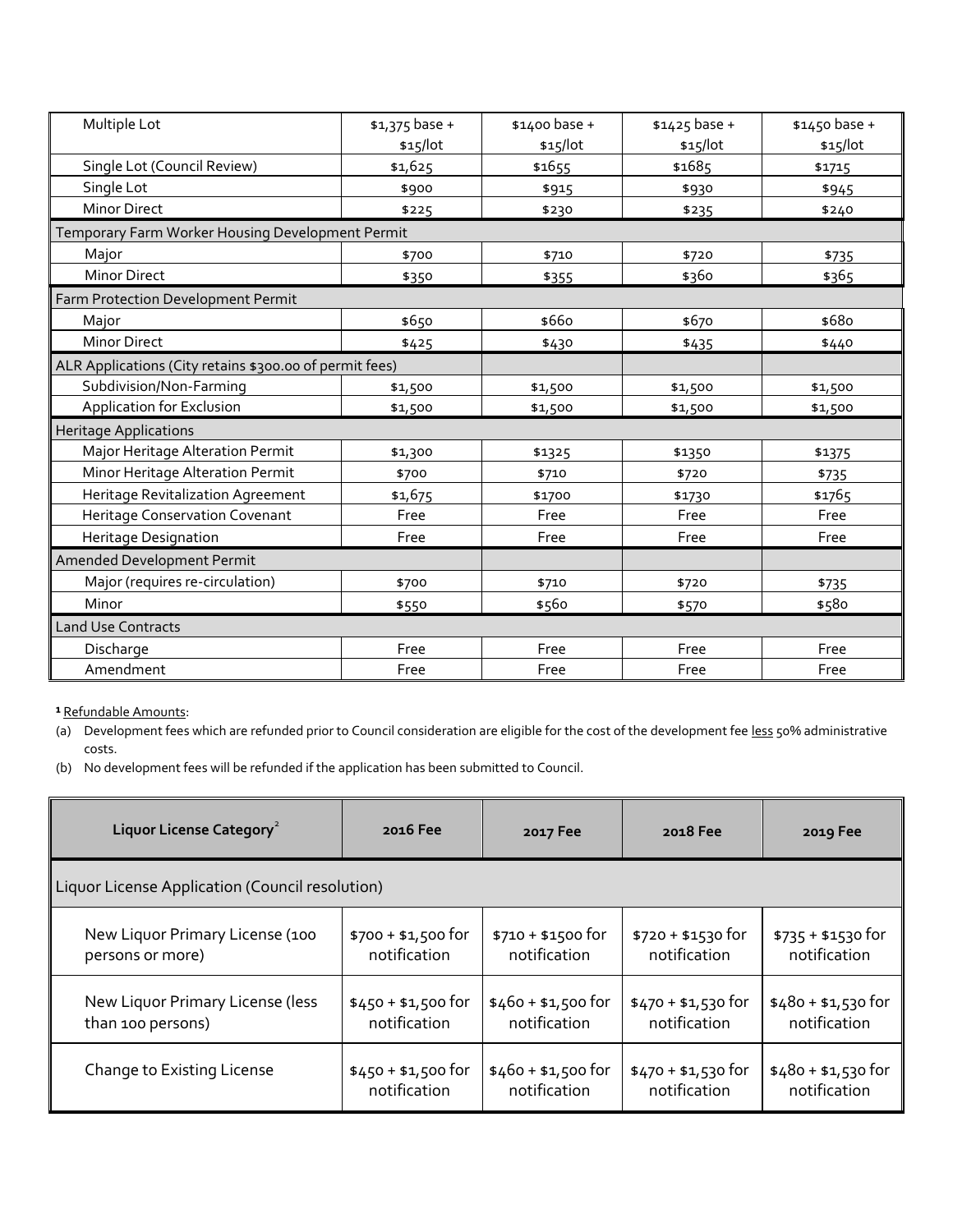| Multiple Lot                                            | $$1,375$ base + | \$1400 base + | $$1425$ base + | \$1450 base + |
|---------------------------------------------------------|-----------------|---------------|----------------|---------------|
|                                                         | \$15/lot        | \$15/lot      | \$15/lot       | \$15/lot      |
| Single Lot (Council Review)                             | \$1,625         | \$1655        | \$1685         | \$1715        |
| Single Lot                                              | \$900           | \$915         | \$930          | \$945         |
| <b>Minor Direct</b>                                     | \$225           | \$230         | \$235          | \$240         |
| Temporary Farm Worker Housing Development Permit        |                 |               |                |               |
| Major                                                   | \$700           | \$710         | \$720          | \$735         |
| <b>Minor Direct</b>                                     | \$350           | \$355         | \$360          | \$365         |
| Farm Protection Development Permit                      |                 |               |                |               |
| Major                                                   | \$650           | \$660         | \$670          | \$680         |
| <b>Minor Direct</b>                                     | \$425           | \$430         | \$435          | \$440         |
| ALR Applications (City retains \$300.00 of permit fees) |                 |               |                |               |
| Subdivision/Non-Farming                                 | \$1,500         | \$1,500       | \$1,500        | \$1,500       |
| Application for Exclusion                               | \$1,500         | \$1,500       | \$1,500        | \$1,500       |
| <b>Heritage Applications</b>                            |                 |               |                |               |
| Major Heritage Alteration Permit                        | \$1,300         | \$1325        | \$1350         | \$1375        |
| Minor Heritage Alteration Permit                        | \$700           | \$710         | \$720          | \$735         |
| Heritage Revitalization Agreement                       | \$1,675         | \$1700        | \$1730         | \$1765        |
| <b>Heritage Conservation Covenant</b>                   | Free            | Free          | Free           | Free          |
| Heritage Designation                                    | Free            | Free          | Free           | Free          |
| Amended Development Permit                              |                 |               |                |               |
| Major (requires re-circulation)                         | \$700           | \$710         | \$720          | \$735         |
| Minor                                                   | \$550           | \$560         | \$570          | \$580         |
| <b>Land Use Contracts</b>                               |                 |               |                |               |
| Discharge                                               | Free            | Free          | Free           | Free          |
| Amendment                                               | Free            | Free          | Free           | Free          |

**¹** Refundable Amounts:

(a) Development fees which are refunded prior to Council consideration are eligible for the cost of the development fee less 50% administrative costs.

(b) No development fees will be refunded if the application has been submitted to Council.

| Liquor License Category <sup>2</sup>            | 2016 Fee            | 2017 Fee            | 2018 Fee            | 2019 Fee            |
|-------------------------------------------------|---------------------|---------------------|---------------------|---------------------|
| Liquor License Application (Council resolution) |                     |                     |                     |                     |
| New Liquor Primary License (100                 | $$700 + $1,500$ for | $$710 + $1500$ for  | $$720 + $1530$ for  | $$735 + $1530$ for  |
| persons or more)                                | notification        | notification        | notification        | notification        |
| New Liquor Primary License (less                | $$450 + $1,500$ for | $$460 + $1,500$ for | $$470 + $1,530$ for | $$480 + $1,530$ for |
| than 100 persons)                               | notification        | notification        | notification        | notification        |
| Change to Existing License                      | $$450 + $1,500$ for | $$460 + $1,500$ for | $$470 + $1,530$ for | $$480 + $1,530$ for |
|                                                 | notification        | notification        | notification        | notification        |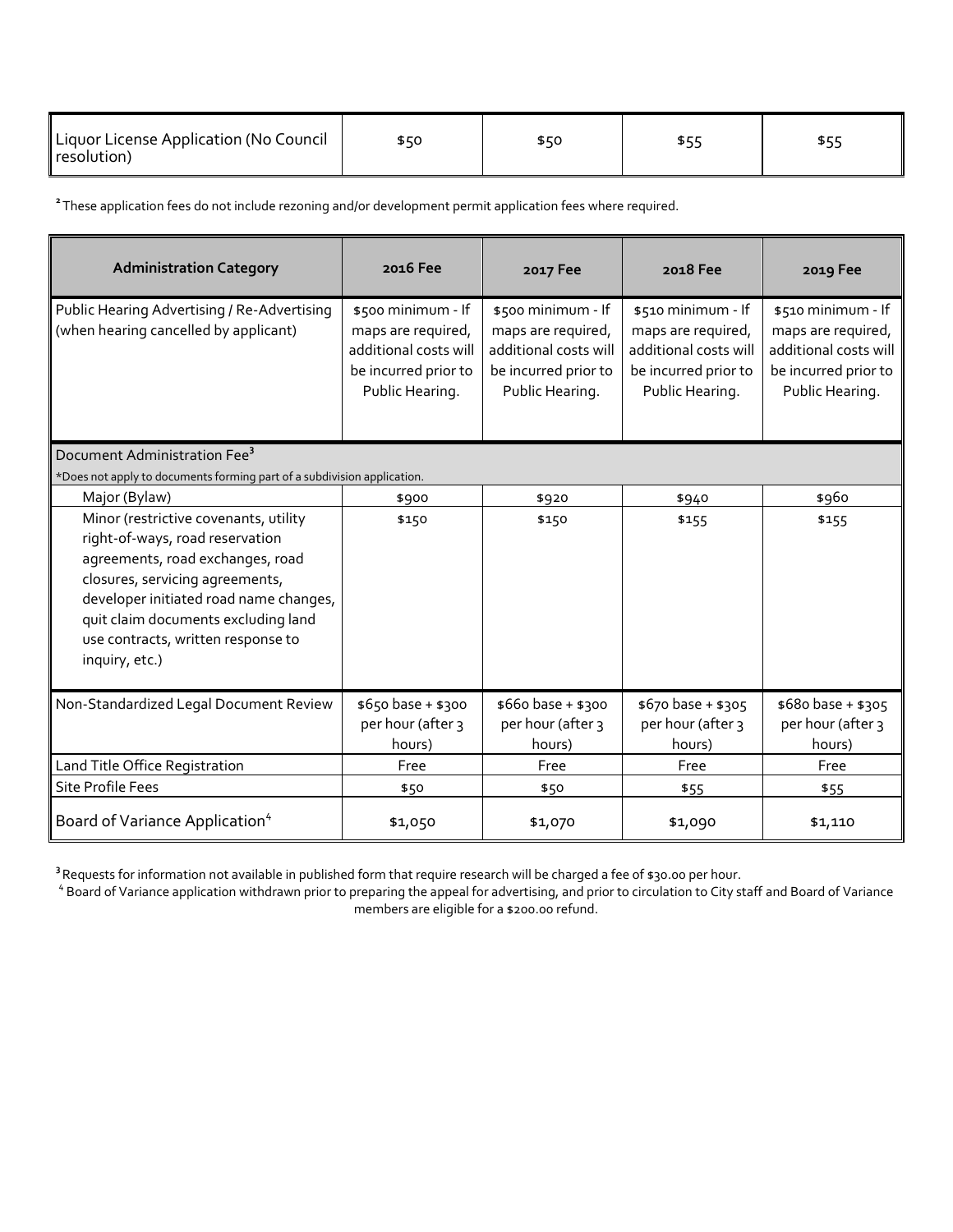| Liquor License Application (No Council<br>resolution) |  |  |  |  |
|-------------------------------------------------------|--|--|--|--|
|-------------------------------------------------------|--|--|--|--|

**<sup>2</sup>**These application fees do not include rezoning and/or development permit application fees where required.

| <b>Administration Category</b>                                                                                                                                                                                                                                                           | 2016 Fee                                                                                                     | 2017 Fee                                                                                                     | 2018 Fee                                                                                                     | 2019 Fee                                                                                                     |
|------------------------------------------------------------------------------------------------------------------------------------------------------------------------------------------------------------------------------------------------------------------------------------------|--------------------------------------------------------------------------------------------------------------|--------------------------------------------------------------------------------------------------------------|--------------------------------------------------------------------------------------------------------------|--------------------------------------------------------------------------------------------------------------|
| Public Hearing Advertising / Re-Advertising<br>(when hearing cancelled by applicant)                                                                                                                                                                                                     | \$500 minimum - If<br>maps are required,<br>additional costs will<br>be incurred prior to<br>Public Hearing. | \$500 minimum - If<br>maps are required,<br>additional costs will<br>be incurred prior to<br>Public Hearing. | \$510 minimum - If<br>maps are required,<br>additional costs will<br>be incurred prior to<br>Public Hearing. | \$510 minimum - If<br>maps are required,<br>additional costs will<br>be incurred prior to<br>Public Hearing. |
| Document Administration Fee <sup>3</sup><br>*Does not apply to documents forming part of a subdivision application.                                                                                                                                                                      |                                                                                                              |                                                                                                              |                                                                                                              |                                                                                                              |
| Major (Bylaw)                                                                                                                                                                                                                                                                            | \$900                                                                                                        | \$920                                                                                                        | \$940                                                                                                        | \$960                                                                                                        |
| Minor (restrictive covenants, utility<br>right-of-ways, road reservation<br>agreements, road exchanges, road<br>closures, servicing agreements,<br>developer initiated road name changes,<br>quit claim documents excluding land<br>use contracts, written response to<br>inquiry, etc.) | \$150                                                                                                        | \$150                                                                                                        | \$155                                                                                                        | \$155                                                                                                        |
| Non-Standardized Legal Document Review                                                                                                                                                                                                                                                   | \$650 base + \$300<br>per hour (after 3<br>hours)                                                            | \$660 base + \$300<br>per hour (after 3<br>hours)                                                            | \$670 base + \$305<br>per hour (after 3<br>hours)                                                            | \$680 base + \$305<br>per hour (after 3<br>hours)                                                            |
| Land Title Office Registration                                                                                                                                                                                                                                                           | Free                                                                                                         | Free                                                                                                         | Free                                                                                                         | Free                                                                                                         |
| <b>Site Profile Fees</b>                                                                                                                                                                                                                                                                 | \$50                                                                                                         | \$50                                                                                                         | \$55                                                                                                         | \$55                                                                                                         |
| Board of Variance Application <sup>4</sup>                                                                                                                                                                                                                                               | \$1,050                                                                                                      | \$1,070                                                                                                      | \$1,090                                                                                                      | \$1,110                                                                                                      |

<sup>3</sup> Requests for information not available in published form that require research will be charged a fee of \$30.00 per hour.<br><sup>4</sup> Board of Variance application withdrawn prior to preparing the appeal for advertising, and pr

members are eligible for a \$200.00 refund.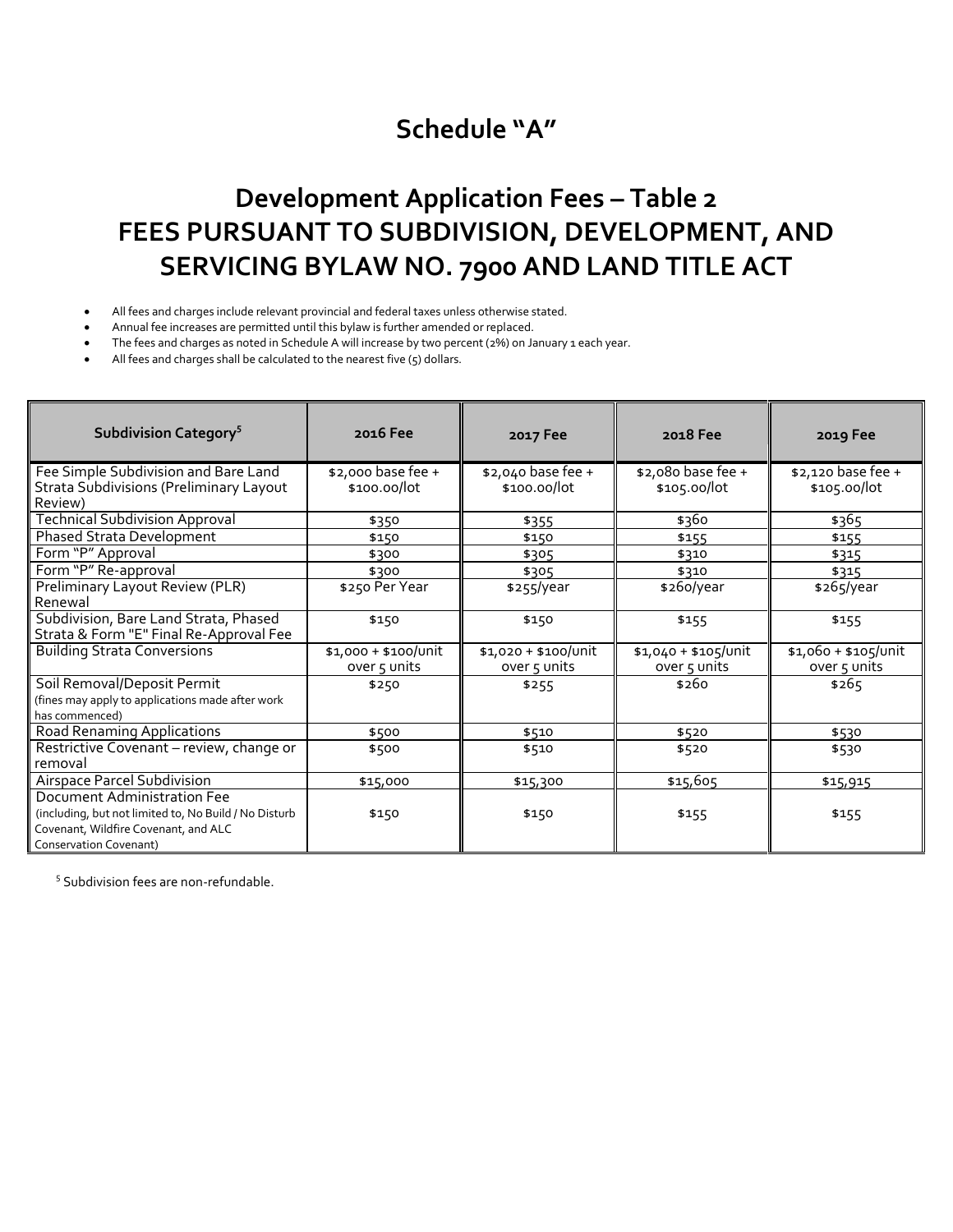### **Schedule "A"**

## **Development Application Fees – Table 2 FEES PURSUANT TO SUBDIVISION, DEVELOPMENT, AND SERVICING BYLAW NO. 7900 AND LAND TITLE ACT**

- All fees and charges include relevant provincial and federal taxes unless otherwise stated.
- Annual fee increases are permitted until this bylaw is further amended or replaced.
- The fees and charges as noted in Schedule A will increase by two percent (2%) on January 1 each year.
- All fees and charges shall be calculated to the nearest five (5) dollars.

| Subdivision Category <sup>5</sup>                                                                                                                             | 2016 Fee                             | 2017 Fee                             | 2018 Fee                             | 2019 Fee                             |
|---------------------------------------------------------------------------------------------------------------------------------------------------------------|--------------------------------------|--------------------------------------|--------------------------------------|--------------------------------------|
| Fee Simple Subdivision and Bare Land<br>Strata Subdivisions (Preliminary Layout<br>Review)                                                                    | \$2,000 base fee +<br>\$100.00/lot   | \$2,040 base fee +<br>\$100.00/lot   | \$2,080 base fee +<br>\$105.00/lot   | \$2,120 base fee +<br>\$105.00/lot   |
| <b>Technical Subdivision Approval</b><br><b>Phased Strata Development</b>                                                                                     | \$350<br>\$150                       | \$355<br>\$150                       | \$360<br>\$155                       | \$365<br>\$155                       |
| Form "P" Approval<br>Form "P" Re-approval                                                                                                                     | \$300                                | \$305                                | \$310                                | \$315                                |
| Preliminary Layout Review (PLR)<br>Renewal                                                                                                                    | \$300<br>\$250 Per Year              | \$305<br>\$255/year                  | \$310<br>\$260/year                  | \$315<br>\$265/year                  |
| Subdivision, Bare Land Strata, Phased<br>Strata & Form "E" Final Re-Approval Fee                                                                              | \$150                                | \$150                                | \$155                                | \$155                                |
| <b>Building Strata Conversions</b>                                                                                                                            | \$1,000 + \$100/unit<br>over 5 units | \$1,020 + \$100/Unit<br>over 5 units | \$1,040 + \$105/unit<br>over 5 units | \$1,060 + \$105/unit<br>over 5 units |
| Soil Removal/Deposit Permit<br>(fines may apply to applications made after work<br>has commenced)                                                             | \$250                                | \$255                                | \$260                                | \$265                                |
| <b>Road Renaming Applications</b>                                                                                                                             | \$500                                | \$510                                | \$520                                | \$530                                |
| Restrictive Covenant - review, change or<br>removal                                                                                                           | \$500                                | \$510                                | \$520                                | \$530                                |
| Airspace Parcel Subdivision                                                                                                                                   | \$15,000                             | \$15,300                             | \$15,605                             | \$15,915                             |
| Document Administration Fee<br>(including, but not limited to, No Build / No Disturb<br>Covenant, Wildfire Covenant, and ALC<br><b>Conservation Covenant)</b> | \$150                                | \$150                                | \$155                                | \$155                                |

<sup>5</sup> Subdivision fees are non-refundable.